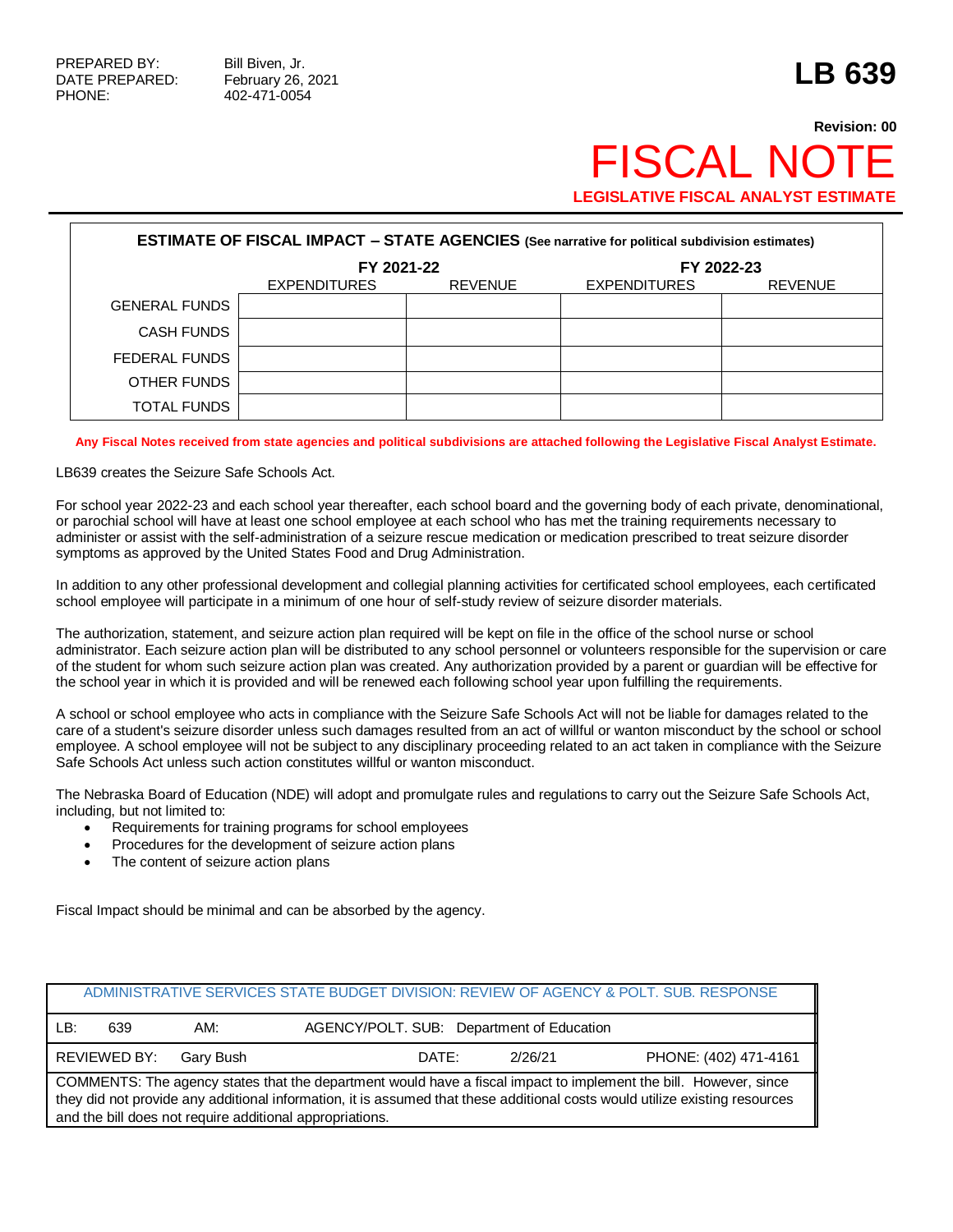## **Revision: 00 FISCAL NO LEGISLATIVE FISCAL ANALYST ESTIMATE**

| <b>ESTIMATE OF FISCAL IMPACT - STATE AGENCIES (See narrative for political subdivision estimates)</b> |                     |                |                     |                |  |  |
|-------------------------------------------------------------------------------------------------------|---------------------|----------------|---------------------|----------------|--|--|
|                                                                                                       | FY 2021-22          |                | FY 2022-23          |                |  |  |
|                                                                                                       | <b>EXPENDITURES</b> | <b>REVENUE</b> | <b>EXPENDITURES</b> | <b>REVENUE</b> |  |  |
| <b>GENERAL FUNDS</b>                                                                                  |                     |                |                     |                |  |  |
| <b>CASH FUNDS</b>                                                                                     |                     |                |                     |                |  |  |
| FEDERAL FUNDS                                                                                         |                     |                |                     |                |  |  |
| OTHER FUNDS                                                                                           |                     |                |                     |                |  |  |
| TOTAL FUNDS                                                                                           |                     |                |                     |                |  |  |

## **Any Fiscal Notes received from state agencies and political subdivisions are attached following the Legislative Fiscal Analyst Estimate.**

LB639 creates the Seizure Safe Schools Act.

For school year 2022-23 and each school year thereafter, each school board and the governing body of each private, denominational, or parochial school will have at least one school employee at each school who has met the training requirements necessary to administer or assist with the self-administration of a seizure rescue medication or medication prescribed to treat seizure disorder symptoms as approved by the United States Food and Drug Administration.

In addition to any other professional development and collegial planning activities for certificated school employees, each certificated school employee will participate in a minimum of one hour of self-study review of seizure disorder materials.

The authorization, statement, and seizure action plan required will be kept on file in the office of the school nurse or school administrator. Each seizure action plan will be distributed to any school personnel or volunteers responsible for the supervision or care of the student for whom such seizure action plan was created. Any authorization provided by a parent or guardian will be effective for the school year in which it is provided and will be renewed each following school year upon fulfilling the requirements.

A school or school employee who acts in compliance with the Seizure Safe Schools Act will not be liable for damages related to the care of a student's seizure disorder unless such damages resulted from an act of willful or wanton misconduct by the school or school employee. A school employee will not be subject to any disciplinary proceeding related to an act taken in compliance with the Seizure Safe Schools Act unless such action constitutes willful or wanton misconduct.

The Nebraska Board of Education (NDE) will adopt and promulgate rules and regulations to carry out the Seizure Safe Schools Act, including, but not limited to:

- Requirements for training programs for school employees
- Procedures for the development of seizure action plans
- The content of seizure action plans

Fiscal Impact should be minimal and can be absorbed by the agency.

|                                                                                                                                                                                                                                                                                                             |              |           |       |  |                                           | ADMINISTRATIVE SERVICES STATE BUDGET DIVISION: REVIEW OF AGENCY & POLT. SUB. RESPONSE |
|-------------------------------------------------------------------------------------------------------------------------------------------------------------------------------------------------------------------------------------------------------------------------------------------------------------|--------------|-----------|-------|--|-------------------------------------------|---------------------------------------------------------------------------------------|
| ∟B:                                                                                                                                                                                                                                                                                                         | 639          | AM:       |       |  | AGENCY/POLT. SUB: Department of Education |                                                                                       |
|                                                                                                                                                                                                                                                                                                             | REVIEWED BY: | Garv Bush | DATE: |  | 2/26/21                                   | PHONE: (402) 471-4161                                                                 |
| COMMENTS: The agency states that the department would have a fiscal impact to implement the bill. However, since<br>they did not provide any additional information, it is assumed that these additional costs would utilize existing resources<br>and the bill does not require additional appropriations. |              |           |       |  |                                           |                                                                                       |